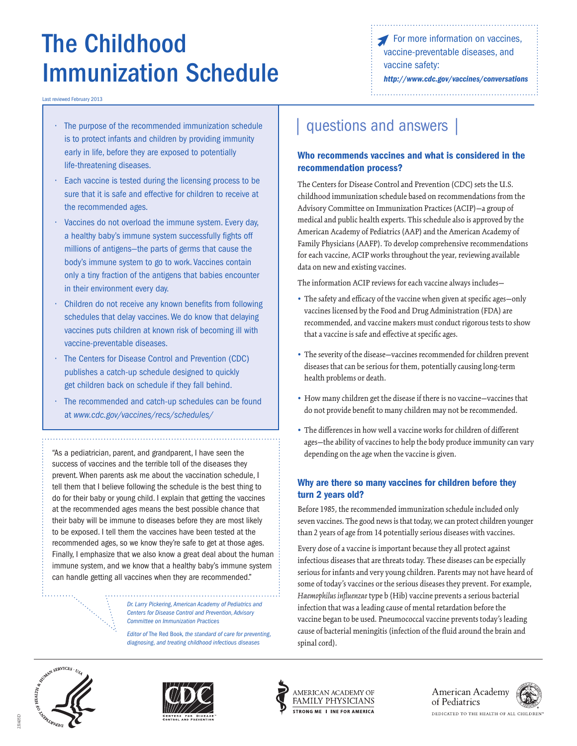# The Childhood vaccines, The Childhood vaccines, vaccine preventable diseases, and vaccine safety: Immunization Schedule *<http://www.cdc.gov/vaccines/conversations>*

Last reviewed February 2013

- $\cdot$  The purpose of the recommended immunization schedule is to protect infants and children by providing immunity early in life, before they are exposed to potentially life-threatening diseases.
- Each vaccine is tested during the licensing process to be sure that it is safe and effective for children to receive at the recommended ages.
- • Vaccines do not overload the immune system. Every day, a healthy baby's immune system successfully fights off millions of antigens—the parts of germs that cause the body's immune system to go to work. Vaccines contain only a tiny fraction of the antigens that babies encounter in their environment every day.
- Children do not receive any known benefits from following schedules that delay vaccines. We do know that delaying vaccines puts children at known risk of becoming ill with vaccine-preventable diseases.
- The Centers for Disease Control and Prevention (CDC) publishes a catch-up schedule designed to quickly get children back on schedule if they fall behind.
- The recommended and catch-up schedules can be found at *www.cdc.gov/vaccines/recs/schedules/*

"As a pediatrician, parent, and grandparent, I have seen the success of vaccines and the terrible toll of the diseases they prevent. When parents ask me about the vaccination schedule, I tell them that I believe following the schedule is the best thing to do for their baby or young child. I explain that getting the vaccines at the recommended ages means the best possible chance that their baby will be immune to diseases before they are most likely to be exposed. I tell them the vaccines have been tested at the recommended ages, so we know they're safe to get at those ages. Finally, I emphasize that we also know a great deal about the human immune system, and we know that a healthy baby's immune system can handle getting all vaccines when they are recommended."

> **Centers for Disease Control and Prevention, Advisory Dr. Larry Pickering, American Academy of Pediatrics and** *Committee on Immunization Practices*

*Editor of* The Red Book*, the standard of care for preventing, diagnosing, and treating childhood infectious diseases* 

## questions and answers

#### Who recommends vaccines and what is considered in the recommendation process?

The Centers for Disease Control and Prevention (CDC) sets the U.S. childhood immunization schedule based on recommendations from the Advisory Committee on Immunization Practices (ACIP)—a group of medical and public health experts. This schedule also is approved by the American Academy of Pediatrics (AAP) and the American Academy of Family Physicians (AAFP). To develop comprehensive recommendations for each vaccine, ACIP works throughout the year, reviewing available data on new and existing vaccines.

The information ACIP reviews for each vaccine always includes—

- **•** The safety and efficacy of the vaccine when given at specific ages—only vaccines licensed by the Food and Drug Administration (FDA) are recommended, and vaccine makers must conduct rigorous tests to show that a vaccine is safe and effective at specific ages.
- **•** The severity of the disease—vaccines recommended for children prevent diseases that can be serious for them, potentially causing long-term health problems or death.
- **•** How many children get the disease if there is no vaccine—vaccines that do not provide benefit to many children may not be recommended.
- **•** The differences in how well a vaccine works for children of different ages—the ability of vaccines to help the body produce immunity can vary depending on the age when the vaccine is given.

#### Why are there so many vaccines for children before they turn 2 years old?

Before 1985, the recommended immunization schedule included only seven vaccines. The good news is that today, we can protect children younger than 2 years of age from 14 potentially serious diseases with vaccines.

Every dose of a vaccine is important because they all protect against infectious diseases that are threats today. These diseases can be especially serious for infants and very young children. Parents may not have heard of some of today's vaccines or the serious diseases they prevent. For example, *Haemophilus influenzae* type b (Hib) vaccine prevents a serious bacterial infection that was a leading cause of mental retardation before the vaccine began to be used. Pneumococcal vaccine prevents today's leading cause of bacterial meningitis (infection of the fluid around the brain and spinal cord).



231405D









DEDICATED TO THE HEALTH OF ALL CHILDREN